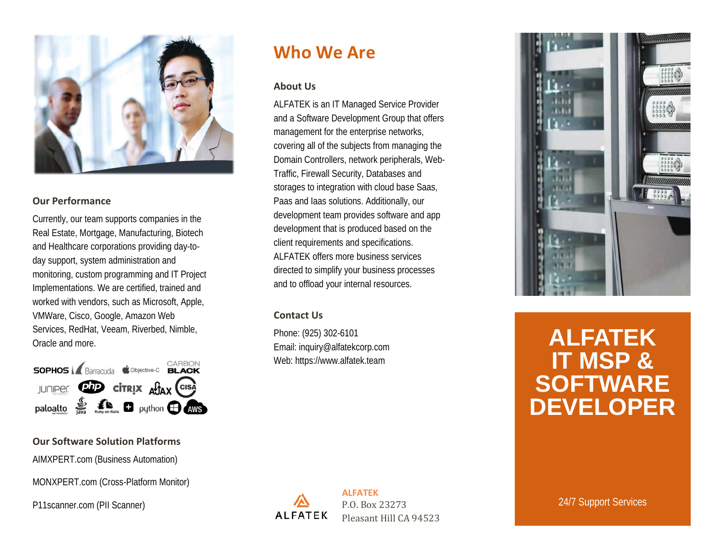

#### **Our Performance**

Currently, our team supports companies in the Real Estate, Mortgage, Manufacturing, Biotech and Healthcare corporations providing day-today support, system administration and monitoring, custom programming and IT Project Implementations. We are certified, trained and worked with vendors, such as Microsoft, Apple, VMWare, Cisco, Google, Amazon Web Services, RedHat, Veeam, Riverbed, Nimble, Oracle and more.



#### **Our Software Solution Platforms**

AIMXPERT.com (Business Automation)

MONXPERT.com (Cross-Platform Monitor)

P11scanner.com (PII Scanner)

## **Who We Are**

#### **About Us**

ALFATEK is an IT Managed Service Provider and a Software Development Group that offers management for the enterprise networks, covering all of the subjects from managing the Domain Controllers, network peripherals, Web-Traffic, Firewall Security, Databases and storages to integration with cloud base Saas, Paas and Iaas solutions. Additionally, our development team provides software and app development that is produced based on the client requirements and specifications. ALFATEK offers more business services directed to simplify your business processes and to offload your internal resources.

#### **Contact Us**

Phone: (925) 302-6101 Email: inquiry@alfatekcorp.com Web: https://www.alfatek.team



# **ALFATEK IT MSP & SOFTWARE DEVELOPER**

**ALFATEK** P.O. Box 23273 **ALFATEK** Pleasant Hill CA 94523

24/7 Support Services